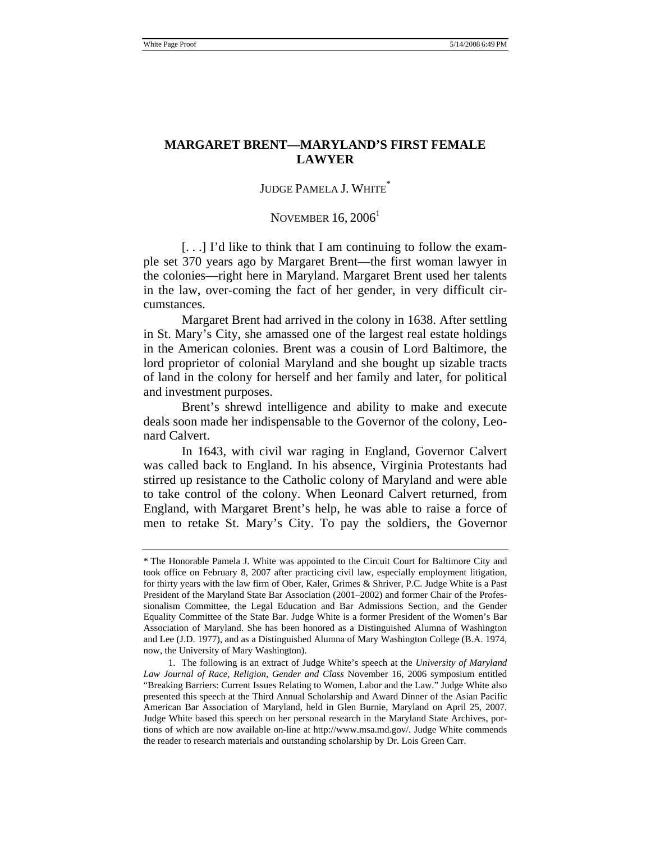### **MARGARET BRENT—MARYLAND'S FIRST FEMALE LAWYER**

# JUDGE PAMELA J. WHITE<sup>\*</sup>

### NOVEMBER  $16, 2006<sup>1</sup>$

[. . .] I'd like to think that I am continuing to follow the example set 370 years ago by Margaret Brent—the first woman lawyer in the colonies—right here in Maryland. Margaret Brent used her talents in the law, over-coming the fact of her gender, in very difficult circumstances.

Margaret Brent had arrived in the colony in 1638. After settling in St. Mary's City, she amassed one of the largest real estate holdings in the American colonies. Brent was a cousin of Lord Baltimore, the lord proprietor of colonial Maryland and she bought up sizable tracts of land in the colony for herself and her family and later, for political and investment purposes.

Brent's shrewd intelligence and ability to make and execute deals soon made her indispensable to the Governor of the colony, Leonard Calvert.

In 1643, with civil war raging in England, Governor Calvert was called back to England. In his absence, Virginia Protestants had stirred up resistance to the Catholic colony of Maryland and were able to take control of the colony. When Leonard Calvert returned, from England, with Margaret Brent's help, he was able to raise a force of men to retake St. Mary's City. To pay the soldiers, the Governor

<sup>\*</sup> The Honorable Pamela J. White was appointed to the Circuit Court for Baltimore City and took office on February 8, 2007 after practicing civil law, especially employment litigation, for thirty years with the law firm of Ober, Kaler, Grimes & Shriver, P.C. Judge White is a Past President of the Maryland State Bar Association (2001–2002) and former Chair of the Professionalism Committee, the Legal Education and Bar Admissions Section, and the Gender Equality Committee of the State Bar. Judge White is a former President of the Women's Bar Association of Maryland. She has been honored as a Distinguished Alumna of Washington and Lee (J.D. 1977), and as a Distinguished Alumna of Mary Washington College (B.A. 1974, now, the University of Mary Washington).

 <sup>1.</sup> The following is an extract of Judge White's speech at the *University of Maryland Law Journal of Race, Religion, Gender and Class* November 16, 2006 symposium entitled "Breaking Barriers: Current Issues Relating to Women, Labor and the Law." Judge White also presented this speech at the Third Annual Scholarship and Award Dinner of the Asian Pacific American Bar Association of Maryland, held in Glen Burnie, Maryland on April 25, 2007. Judge White based this speech on her personal research in the Maryland State Archives, portions of which are now available on-line at http://www.msa.md.gov/. Judge White commends the reader to research materials and outstanding scholarship by Dr. Lois Green Carr.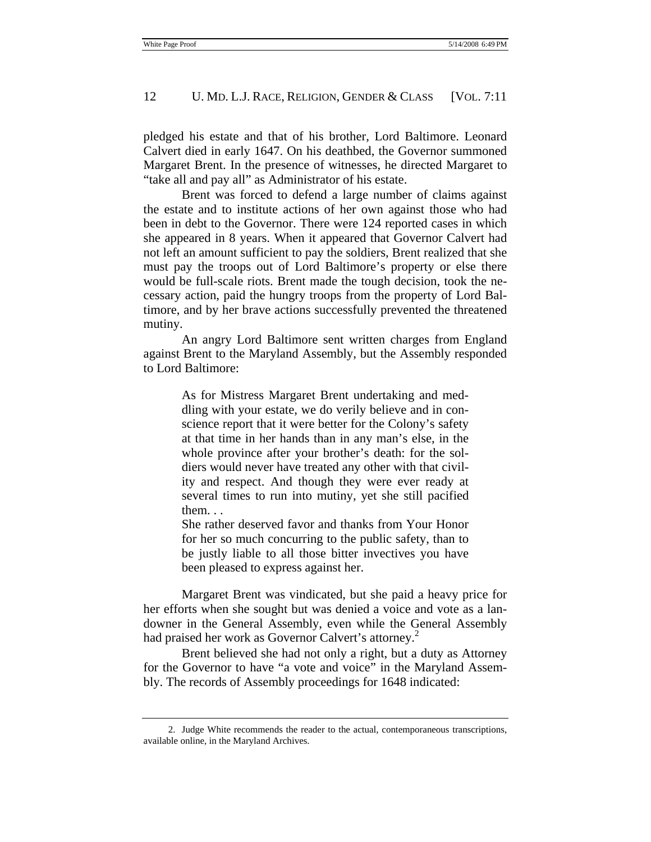#### 12 U. MD. L.J. RACE, RELIGION, GENDER & CLASS [VOL. 7:11]

pledged his estate and that of his brother, Lord Baltimore. Leonard Calvert died in early 1647. On his deathbed, the Governor summoned Margaret Brent. In the presence of witnesses, he directed Margaret to "take all and pay all" as Administrator of his estate.

Brent was forced to defend a large number of claims against the estate and to institute actions of her own against those who had been in debt to the Governor. There were 124 reported cases in which she appeared in 8 years. When it appeared that Governor Calvert had not left an amount sufficient to pay the soldiers, Brent realized that she must pay the troops out of Lord Baltimore's property or else there would be full-scale riots. Brent made the tough decision, took the necessary action, paid the hungry troops from the property of Lord Baltimore, and by her brave actions successfully prevented the threatened mutiny.

An angry Lord Baltimore sent written charges from England against Brent to the Maryland Assembly, but the Assembly responded to Lord Baltimore:

> As for Mistress Margaret Brent undertaking and meddling with your estate, we do verily believe and in conscience report that it were better for the Colony's safety at that time in her hands than in any man's else, in the whole province after your brother's death: for the soldiers would never have treated any other with that civility and respect. And though they were ever ready at several times to run into mutiny, yet she still pacified them. . .

> She rather deserved favor and thanks from Your Honor for her so much concurring to the public safety, than to be justly liable to all those bitter invectives you have been pleased to express against her.

Margaret Brent was vindicated, but she paid a heavy price for her efforts when she sought but was denied a voice and vote as a landowner in the General Assembly, even while the General Assembly had praised her work as Governor Calvert's attorney.<sup>2</sup>

Brent believed she had not only a right, but a duty as Attorney for the Governor to have "a vote and voice" in the Maryland Assembly. The records of Assembly proceedings for 1648 indicated:

 <sup>2.</sup> Judge White recommends the reader to the actual, contemporaneous transcriptions, available online, in the Maryland Archives.